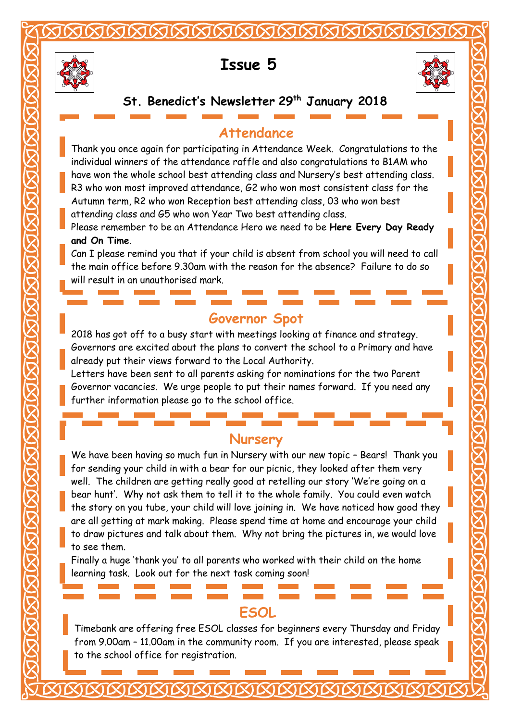

# **Issue 5**



### **St. Benedict's Newsletter 29th January 2018**

### **Attendance**

Thank you once again for participating in Attendance Week. Congratulations to the individual winners of the attendance raffle and also congratulations to B1AM who have won the whole school best attending class and Nursery's best attending class.

- R3 who won most improved attendance, G2 who won most consistent class for the Autumn term, R2 who won Reception best attending class, 03 who won best attending class and G5 who won Year Two best attending class.
- Please remember to be an Attendance Hero we need to be **Here Every Day Ready and On Time**.

Can I please remind you that if your child is absent from school you will need to call the main office before 9.30am with the reason for the absence? Failure to do so will result in an unauthorised mark.

#### **Governor Spot**

2018 has got off to a busy start with meetings looking at finance and strategy. Governors are excited about the plans to convert the school to a Primary and have already put their views forward to the Local Authority.

 Letters have been sent to all parents asking for nominations for the two Parent Governor vacancies. We urge people to put their names forward. If you need any further information please go to the school office.

#### **Nursery**

 We have been having so much fun in Nursery with our new topic – Bears! Thank you well. The children are getting really good at retelling our story 'We're going on a bear hunt'. Why not ask them to tell it to the whole family. You could even watch the story on you tube, your child will love joining in. We have noticed how good they<br>are all getting at mank making. Plages spand time at home and encourage your child to draw pictures and talk about them. Why not bring the pictures in, we would love to see them. for sending your child in with a bear for our picnic, they looked after them very are all getting at mark making. Please spend time at home and encourage your child

 learning task. Look out for the next task coming soon! Finally a huge 'thank you' to all parents who worked with their child on the home

#### **ESOL**

 Timebank are offering free ESOL classes for beginners every Thursday and Friday from 9.00am – 11.00am in the community room. If you are interested, please speak to the school office for registration.

l